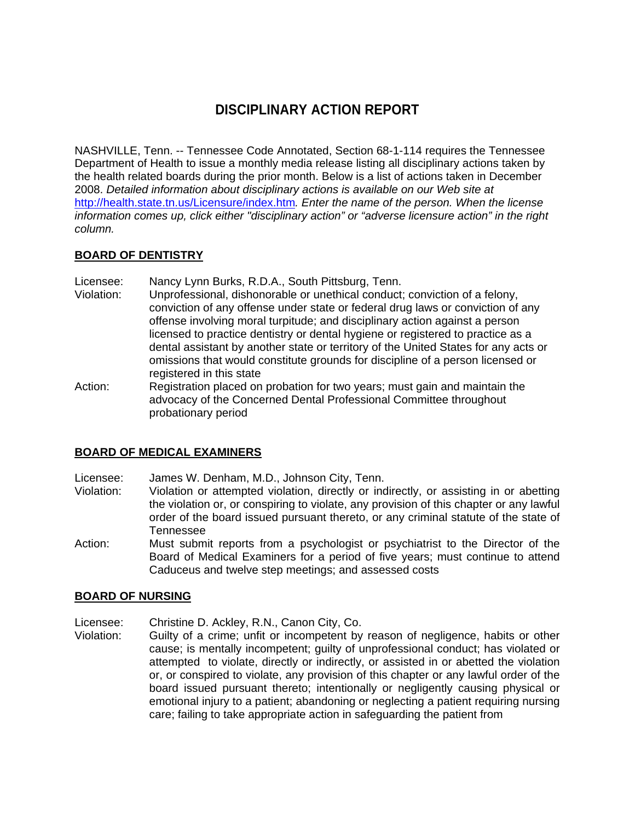# **DISCIPLINARY ACTION REPORT**

NASHVILLE, Tenn. -- Tennessee Code Annotated, Section 68-1-114 requires the Tennessee Department of Health to issue a monthly media release listing all disciplinary actions taken by the health related boards during the prior month. Below is a list of actions taken in December 2008. *Detailed information about disciplinary actions is available on our Web site at*  http://health.state.tn.us/Licensure/index.htm*. Enter the name of the person. When the license information comes up, click either "disciplinary action" or "adverse licensure action" in the right column.* 

## **BOARD OF DENTISTRY**

Licensee: Nancy Lynn Burks, R.D.A., South Pittsburg, Tenn.

- Violation: Unprofessional, dishonorable or unethical conduct; conviction of a felony, conviction of any offense under state or federal drug laws or conviction of any offense involving moral turpitude; and disciplinary action against a person licensed to practice dentistry or dental hygiene or registered to practice as a dental assistant by another state or territory of the United States for any acts or omissions that would constitute grounds for discipline of a person licensed or registered in this state
- Action: Registration placed on probation for two years; must gain and maintain the advocacy of the Concerned Dental Professional Committee throughout probationary period

# **BOARD OF MEDICAL EXAMINERS**

Licensee: James W. Denham, M.D., Johnson City, Tenn.

- Violation: Violation or attempted violation, directly or indirectly, or assisting in or abetting the violation or, or conspiring to violate, any provision of this chapter or any lawful order of the board issued pursuant thereto, or any criminal statute of the state of Tennessee
- Action: Must submit reports from a psychologist or psychiatrist to the Director of the Board of Medical Examiners for a period of five years; must continue to attend Caduceus and twelve step meetings; and assessed costs

#### **BOARD OF NURSING**

Licensee: Christine D. Ackley, R.N., Canon City, Co.

Violation: Guilty of a crime; unfit or incompetent by reason of negligence, habits or other cause; is mentally incompetent; guilty of unprofessional conduct; has violated or attempted to violate, directly or indirectly, or assisted in or abetted the violation or, or conspired to violate, any provision of this chapter or any lawful order of the board issued pursuant thereto; intentionally or negligently causing physical or emotional injury to a patient; abandoning or neglecting a patient requiring nursing care; failing to take appropriate action in safeguarding the patient from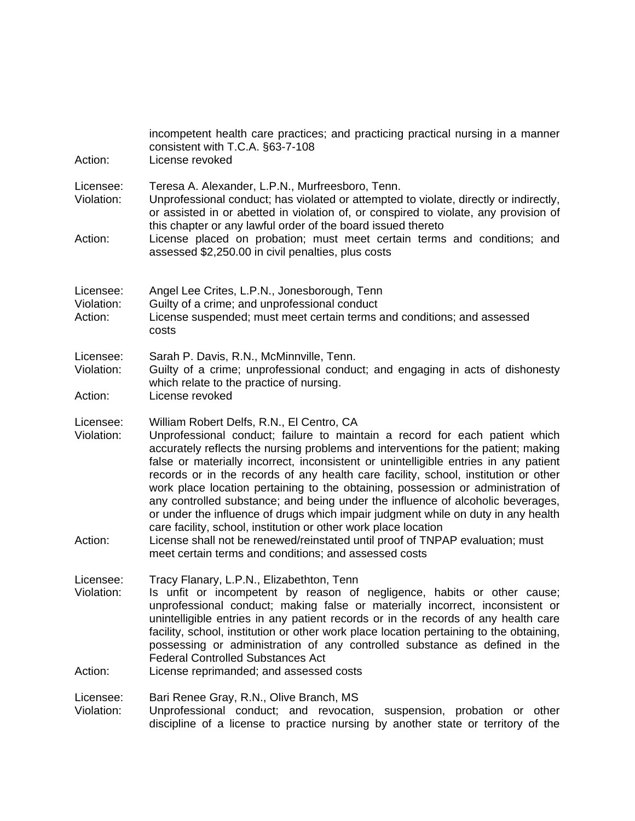| Action:                            | incompetent health care practices; and practicing practical nursing in a manner<br>consistent with T.C.A. §63-7-108<br>License revoked                                                                                                                                                                                                                                                                                                                                                                                                                                                                                                                                                                                                                                                                        |  |
|------------------------------------|---------------------------------------------------------------------------------------------------------------------------------------------------------------------------------------------------------------------------------------------------------------------------------------------------------------------------------------------------------------------------------------------------------------------------------------------------------------------------------------------------------------------------------------------------------------------------------------------------------------------------------------------------------------------------------------------------------------------------------------------------------------------------------------------------------------|--|
| Licensee:<br>Violation:            | Teresa A. Alexander, L.P.N., Murfreesboro, Tenn.<br>Unprofessional conduct; has violated or attempted to violate, directly or indirectly,<br>or assisted in or abetted in violation of, or conspired to violate, any provision of<br>this chapter or any lawful order of the board issued thereto                                                                                                                                                                                                                                                                                                                                                                                                                                                                                                             |  |
| Action:                            | License placed on probation; must meet certain terms and conditions; and<br>assessed \$2,250.00 in civil penalties, plus costs                                                                                                                                                                                                                                                                                                                                                                                                                                                                                                                                                                                                                                                                                |  |
| Licensee:<br>Violation:<br>Action: | Angel Lee Crites, L.P.N., Jonesborough, Tenn<br>Guilty of a crime; and unprofessional conduct<br>License suspended; must meet certain terms and conditions; and assessed<br>costs                                                                                                                                                                                                                                                                                                                                                                                                                                                                                                                                                                                                                             |  |
| Licensee:<br>Violation:            | Sarah P. Davis, R.N., McMinnville, Tenn.<br>Guilty of a crime; unprofessional conduct; and engaging in acts of dishonesty<br>which relate to the practice of nursing.                                                                                                                                                                                                                                                                                                                                                                                                                                                                                                                                                                                                                                         |  |
| Action:                            | License revoked                                                                                                                                                                                                                                                                                                                                                                                                                                                                                                                                                                                                                                                                                                                                                                                               |  |
| Licensee:<br>Violation:<br>Action: | William Robert Delfs, R.N., El Centro, CA<br>Unprofessional conduct; failure to maintain a record for each patient which<br>accurately reflects the nursing problems and interventions for the patient; making<br>false or materially incorrect, inconsistent or unintelligible entries in any patient<br>records or in the records of any health care facility, school, institution or other<br>work place location pertaining to the obtaining, possession or administration of<br>any controlled substance; and being under the influence of alcoholic beverages,<br>or under the influence of drugs which impair judgment while on duty in any health<br>care facility, school, institution or other work place location<br>License shall not be renewed/reinstated until proof of TNPAP evaluation; must |  |
|                                    | meet certain terms and conditions; and assessed costs                                                                                                                                                                                                                                                                                                                                                                                                                                                                                                                                                                                                                                                                                                                                                         |  |
| Licensee:<br>Violation:            | Tracy Flanary, L.P.N., Elizabethton, Tenn<br>Is unfit or incompetent by reason of negligence, habits or other cause;<br>unprofessional conduct; making false or materially incorrect, inconsistent or<br>unintelligible entries in any patient records or in the records of any health care<br>facility, school, institution or other work place location pertaining to the obtaining,<br>possessing or administration of any controlled substance as defined in the<br><b>Federal Controlled Substances Act</b>                                                                                                                                                                                                                                                                                              |  |
| Action:                            | License reprimanded; and assessed costs                                                                                                                                                                                                                                                                                                                                                                                                                                                                                                                                                                                                                                                                                                                                                                       |  |
| Licensee:<br>Violation:            | Bari Renee Gray, R.N., Olive Branch, MS<br>Unprofessional conduct; and revocation, suspension, probation or other<br>discipline of a license to practice nursing by another state or territory of the                                                                                                                                                                                                                                                                                                                                                                                                                                                                                                                                                                                                         |  |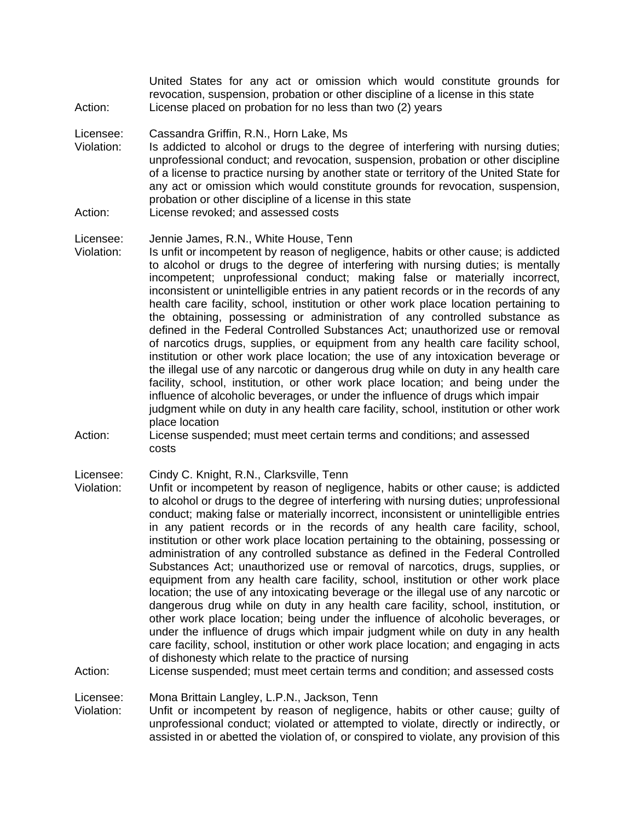United States for any act or omission which would constitute grounds for revocation, suspension, probation or other discipline of a license in this state Action: License placed on probation for no less than two (2) years

#### Licensee: Cassandra Griffin, R.N., Horn Lake, Ms

- Violation: Is addicted to alcohol or drugs to the degree of interfering with nursing duties; unprofessional conduct; and revocation, suspension, probation or other discipline of a license to practice nursing by another state or territory of the United State for any act or omission which would constitute grounds for revocation, suspension, probation or other discipline of a license in this state
- Action: License revoked; and assessed costs

## Licensee: Jennie James, R.N., White House, Tenn

- Violation: Is unfit or incompetent by reason of negligence, habits or other cause; is addicted to alcohol or drugs to the degree of interfering with nursing duties; is mentally incompetent; unprofessional conduct; making false or materially incorrect, inconsistent or unintelligible entries in any patient records or in the records of any health care facility, school, institution or other work place location pertaining to the obtaining, possessing or administration of any controlled substance as defined in the Federal Controlled Substances Act; unauthorized use or removal of narcotics drugs, supplies, or equipment from any health care facility school, institution or other work place location; the use of any intoxication beverage or the illegal use of any narcotic or dangerous drug while on duty in any health care facility, school, institution, or other work place location; and being under the influence of alcoholic beverages, or under the influence of drugs which impair judgment while on duty in any health care facility, school, institution or other work place location
- Action: License suspended; must meet certain terms and conditions; and assessed costs

Violation: Unfit or incompetent by reason of negligence, habits or other cause; is addicted to alcohol or drugs to the degree of interfering with nursing duties; unprofessional conduct; making false or materially incorrect, inconsistent or unintelligible entries in any patient records or in the records of any health care facility, school, institution or other work place location pertaining to the obtaining, possessing or administration of any controlled substance as defined in the Federal Controlled Substances Act; unauthorized use or removal of narcotics, drugs, supplies, or equipment from any health care facility, school, institution or other work place location; the use of any intoxicating beverage or the illegal use of any narcotic or dangerous drug while on duty in any health care facility, school, institution, or other work place location; being under the influence of alcoholic beverages, or under the influence of drugs which impair judgment while on duty in any health care facility, school, institution or other work place location; and engaging in acts of dishonesty which relate to the practice of nursing

## Action: License suspended; must meet certain terms and condition; and assessed costs

#### Licensee: Mona Brittain Langley, L.P.N., Jackson, Tenn

Violation: Unfit or incompetent by reason of negligence, habits or other cause; guilty of unprofessional conduct; violated or attempted to violate, directly or indirectly, or assisted in or abetted the violation of, or conspired to violate, any provision of this

Licensee: Cindy C. Knight, R.N., Clarksville, Tenn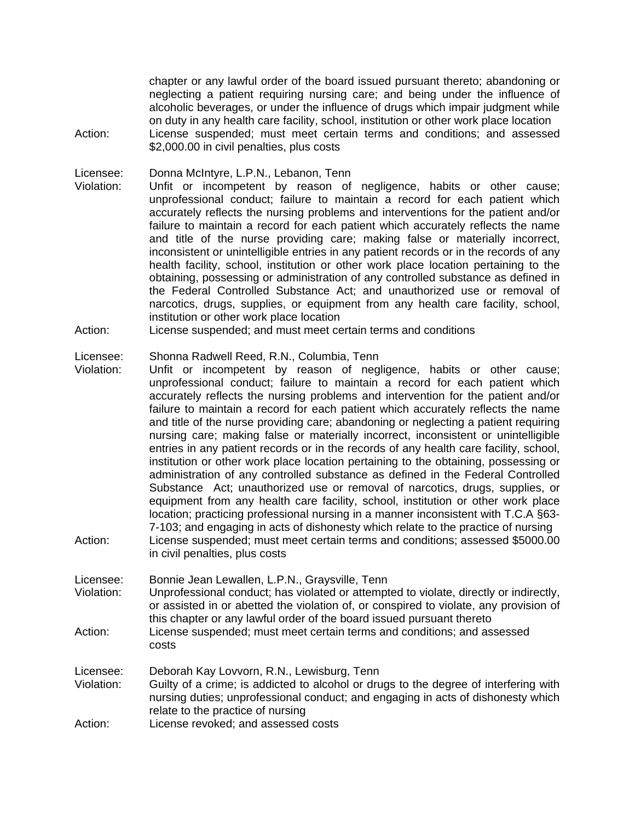chapter or any lawful order of the board issued pursuant thereto; abandoning or neglecting a patient requiring nursing care; and being under the influence of alcoholic beverages, or under the influence of drugs which impair judgment while on duty in any health care facility, school, institution or other work place location Action: License suspended; must meet certain terms and conditions; and assessed \$2,000.00 in civil penalties, plus costs

Licensee: Donna McIntyre, L.P.N., Lebanon, Tenn

- Violation: Unfit or incompetent by reason of negligence, habits or other cause; unprofessional conduct; failure to maintain a record for each patient which accurately reflects the nursing problems and interventions for the patient and/or failure to maintain a record for each patient which accurately reflects the name and title of the nurse providing care; making false or materially incorrect, inconsistent or unintelligible entries in any patient records or in the records of any health facility, school, institution or other work place location pertaining to the obtaining, possessing or administration of any controlled substance as defined in the Federal Controlled Substance Act; and unauthorized use or removal of narcotics, drugs, supplies, or equipment from any health care facility, school, institution or other work place location
- Action: License suspended; and must meet certain terms and conditions

#### Licensee: Shonna Radwell Reed, R.N., Columbia, Tenn

- Violation: Unfit or incompetent by reason of negligence, habits or other cause; unprofessional conduct; failure to maintain a record for each patient which accurately reflects the nursing problems and intervention for the patient and/or failure to maintain a record for each patient which accurately reflects the name and title of the nurse providing care; abandoning or neglecting a patient requiring nursing care; making false or materially incorrect, inconsistent or unintelligible entries in any patient records or in the records of any health care facility, school, institution or other work place location pertaining to the obtaining, possessing or administration of any controlled substance as defined in the Federal Controlled Substance Act; unauthorized use or removal of narcotics, drugs, supplies, or equipment from any health care facility, school, institution or other work place location; practicing professional nursing in a manner inconsistent with T.C.A §63- 7-103; and engaging in acts of dishonesty which relate to the practice of nursing Action: License suspended; must meet certain terms and conditions; assessed \$5000.00
- in civil penalties, plus costs

Licensee: Bonnie Jean Lewallen, L.P.N., Graysville, Tenn

- Violation: Unprofessional conduct; has violated or attempted to violate, directly or indirectly, or assisted in or abetted the violation of, or conspired to violate, any provision of this chapter or any lawful order of the board issued pursuant thereto
- Action: License suspended; must meet certain terms and conditions; and assessed costs

Licensee: Deborah Kay Lovvorn, R.N., Lewisburg, Tenn

- Violation: Guilty of a crime; is addicted to alcohol or drugs to the degree of interfering with nursing duties; unprofessional conduct; and engaging in acts of dishonesty which relate to the practice of nursing
- Action: License revoked; and assessed costs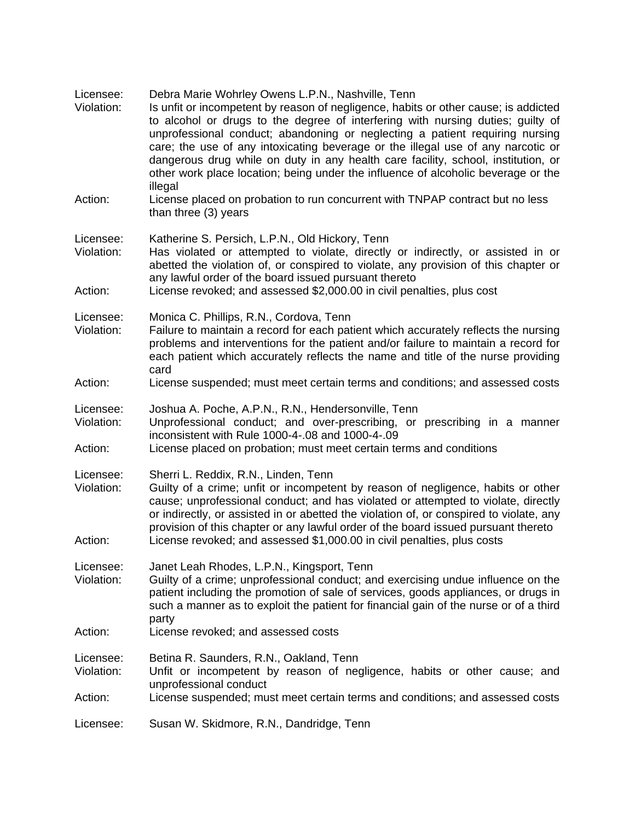| Licensee:<br>Violation:            | Debra Marie Wohrley Owens L.P.N., Nashville, Tenn<br>Is unfit or incompetent by reason of negligence, habits or other cause; is addicted<br>to alcohol or drugs to the degree of interfering with nursing duties; guilty of<br>unprofessional conduct; abandoning or neglecting a patient requiring nursing<br>care; the use of any intoxicating beverage or the illegal use of any narcotic or<br>dangerous drug while on duty in any health care facility, school, institution, or<br>other work place location; being under the influence of alcoholic beverage or the<br>illegal |
|------------------------------------|--------------------------------------------------------------------------------------------------------------------------------------------------------------------------------------------------------------------------------------------------------------------------------------------------------------------------------------------------------------------------------------------------------------------------------------------------------------------------------------------------------------------------------------------------------------------------------------|
| Action:                            | License placed on probation to run concurrent with TNPAP contract but no less<br>than three (3) years                                                                                                                                                                                                                                                                                                                                                                                                                                                                                |
| Licensee:<br>Violation:            | Katherine S. Persich, L.P.N., Old Hickory, Tenn<br>Has violated or attempted to violate, directly or indirectly, or assisted in or<br>abetted the violation of, or conspired to violate, any provision of this chapter or<br>any lawful order of the board issued pursuant thereto                                                                                                                                                                                                                                                                                                   |
| Action:                            | License revoked; and assessed \$2,000.00 in civil penalties, plus cost                                                                                                                                                                                                                                                                                                                                                                                                                                                                                                               |
| Licensee:<br>Violation:            | Monica C. Phillips, R.N., Cordova, Tenn<br>Failure to maintain a record for each patient which accurately reflects the nursing<br>problems and interventions for the patient and/or failure to maintain a record for<br>each patient which accurately reflects the name and title of the nurse providing<br>card                                                                                                                                                                                                                                                                     |
| Action:                            | License suspended; must meet certain terms and conditions; and assessed costs                                                                                                                                                                                                                                                                                                                                                                                                                                                                                                        |
| Licensee:<br>Violation:<br>Action: | Joshua A. Poche, A.P.N., R.N., Hendersonville, Tenn<br>Unprofessional conduct; and over-prescribing, or prescribing in a manner<br>inconsistent with Rule 1000-4-.08 and 1000-4-.09<br>License placed on probation; must meet certain terms and conditions                                                                                                                                                                                                                                                                                                                           |
| Licensee:<br>Violation:<br>Action: | Sherri L. Reddix, R.N., Linden, Tenn<br>Guilty of a crime; unfit or incompetent by reason of negligence, habits or other<br>cause; unprofessional conduct; and has violated or attempted to violate, directly<br>or indirectly, or assisted in or abetted the violation of, or conspired to violate, any<br>provision of this chapter or any lawful order of the board issued pursuant thereto<br>License revoked; and assessed \$1,000.00 in civil penalties, plus costs                                                                                                            |
| Licensee:<br>Violation:            | Janet Leah Rhodes, L.P.N., Kingsport, Tenn<br>Guilty of a crime; unprofessional conduct; and exercising undue influence on the<br>patient including the promotion of sale of services, goods appliances, or drugs in<br>such a manner as to exploit the patient for financial gain of the nurse or of a third<br>party                                                                                                                                                                                                                                                               |
| Action:                            | License revoked; and assessed costs                                                                                                                                                                                                                                                                                                                                                                                                                                                                                                                                                  |
| Licensee:<br>Violation:            | Betina R. Saunders, R.N., Oakland, Tenn<br>Unfit or incompetent by reason of negligence, habits or other cause; and<br>unprofessional conduct                                                                                                                                                                                                                                                                                                                                                                                                                                        |
| Action:                            | License suspended; must meet certain terms and conditions; and assessed costs                                                                                                                                                                                                                                                                                                                                                                                                                                                                                                        |
| Licensee:                          | Susan W. Skidmore, R.N., Dandridge, Tenn                                                                                                                                                                                                                                                                                                                                                                                                                                                                                                                                             |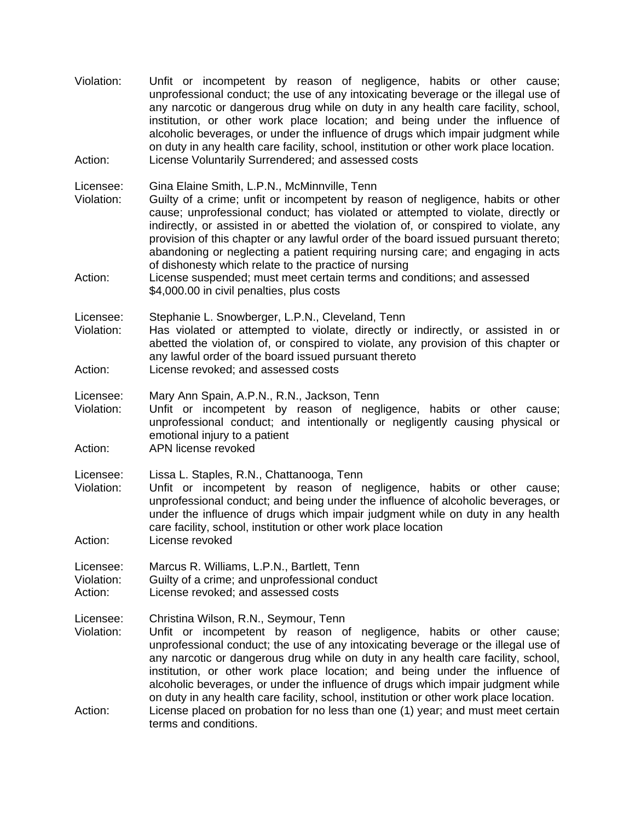Violation: Unfit or incompetent by reason of negligence, habits or other cause; unprofessional conduct; the use of any intoxicating beverage or the illegal use of any narcotic or dangerous drug while on duty in any health care facility, school, institution, or other work place location; and being under the influence of alcoholic beverages, or under the influence of drugs which impair judgment while on duty in any health care facility, school, institution or other work place location. Action: License Voluntarily Surrendered; and assessed costs

Licensee: Gina Elaine Smith, L.P.N., McMinnville, Tenn

- Violation: Guilty of a crime; unfit or incompetent by reason of negligence, habits or other cause; unprofessional conduct; has violated or attempted to violate, directly or indirectly, or assisted in or abetted the violation of, or conspired to violate, any provision of this chapter or any lawful order of the board issued pursuant thereto; abandoning or neglecting a patient requiring nursing care; and engaging in acts of dishonesty which relate to the practice of nursing
- Action: License suspended; must meet certain terms and conditions; and assessed \$4,000.00 in civil penalties, plus costs

Licensee: Stephanie L. Snowberger, L.P.N., Cleveland, Tenn

- Violation: Has violated or attempted to violate, directly or indirectly, or assisted in or abetted the violation of, or conspired to violate, any provision of this chapter or any lawful order of the board issued pursuant thereto
- Action: License revoked; and assessed costs

Licensee: Mary Ann Spain, A.P.N., R.N., Jackson, Tenn

- Violation: Unfit or incompetent by reason of negligence, habits or other cause; unprofessional conduct; and intentionally or negligently causing physical or emotional injury to a patient
- Action: APN license revoked

Licensee: Lissa L. Staples, R.N., Chattanooga, Tenn

Violation: Unfit or incompetent by reason of negligence, habits or other cause; unprofessional conduct; and being under the influence of alcoholic beverages, or under the influence of drugs which impair judgment while on duty in any health care facility, school, institution or other work place location

Action: License revoked

- Licensee: Marcus R. Williams, L.P.N., Bartlett, Tenn
- Violation: Guilty of a crime; and unprofessional conduct
- Action: License revoked; and assessed costs
- Licensee: Christina Wilson, R.N., Seymour, Tenn
- Violation: Unfit or incompetent by reason of negligence, habits or other cause; unprofessional conduct; the use of any intoxicating beverage or the illegal use of any narcotic or dangerous drug while on duty in any health care facility, school, institution, or other work place location; and being under the influence of alcoholic beverages, or under the influence of drugs which impair judgment while on duty in any health care facility, school, institution or other work place location. Action: License placed on probation for no less than one (1) year; and must meet certain
- terms and conditions.